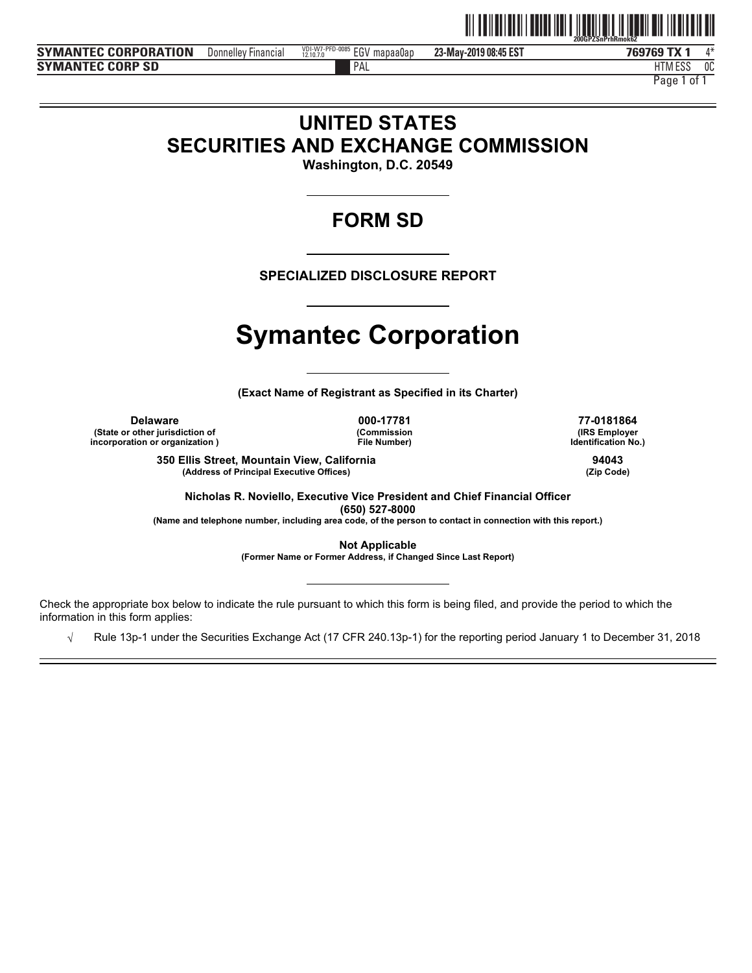

**SYMANTEC CORPORATION** Donnelley Financial <sup>1916/27</sup> **Pro-0085 EGV mapaa0ap** 23-May-2019 08:45 EST **769769 TX SYMANTEC CORP SD**

**23-May-2019 08:45 EST** Donnelley Financial  $^{VBL.007.9}_{2.107.0}$  Donnelley Financial  $^{4*}$ 

HTM ESS 0C

PAL FILM IN THE PALL THAT IN THE RELATION OF THE RELATION OF THE RELATIONSHIP OF THE RELATIONSHIP OF THE RELATIONSHIP OF THE RELATIONSHIP OF THE RELATIONSHIP OF THE RELATIONSHIP OF THE RELATIONSHIP OF THE RELATIONSHIP OF T Page 1 of 1

# **UNITED STATES SECURITIES AND EXCHANGE COMMISSION**

**Washington, D.C. 20549** 

# **FORM SD**

**SPECIALIZED DISCLOSURE REPORT** 

# **Symantec Corporation**

**(Exact Name of Registrant as Specified in its Charter)** 

**Delaware 000-17781 77-0181864 (State or other jurisdiction of incorporation or organization )**

**(Commission File Number)**

**(IRS Employer Identification No.)**

**350 Ellis Street, Mountain View, California 94043 (Address of Principal Executive Offices) (Zip Code)**

**Nicholas R. Noviello, Executive Vice President and Chief Financial Officer (650) 527-8000** 

**(Name and telephone number, including area code, of the person to contact in connection with this report.)** 

**Not Applicable (Former Name or Former Address, if Changed Since Last Report)** 

Check the appropriate box below to indicate the rule pursuant to which this form is being filed, and provide the period to which the information in this form applies:

 $\sqrt{ }$  Rule 13p-1 under the Securities Exchange Act (17 CFR 240.13p-1) for the reporting period January 1 to December 31, 2018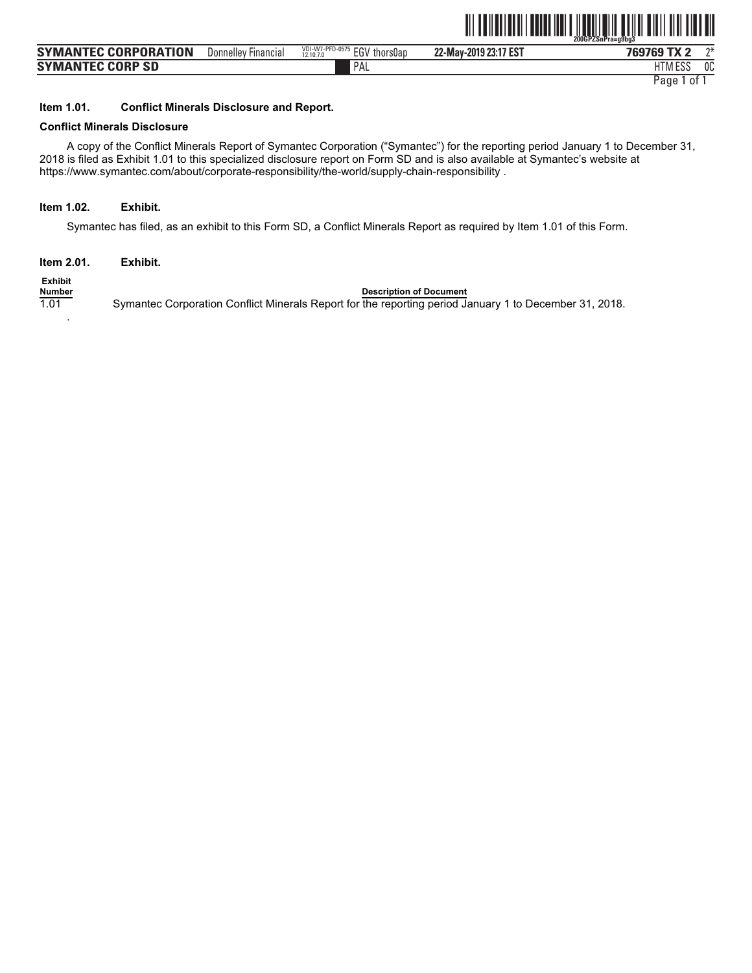

| <b>SYMANTEC CORPORATION</b> | Financial<br>Donnelley | VDI-W7-PFD-<br>EGV<br>thorsOap<br>12.10.7.0 | 22-May-2019 23:17 EST | 769769<br>$\boldsymbol{\mathsf{A}}$ | $n*$ |
|-----------------------------|------------------------|---------------------------------------------|-----------------------|-------------------------------------|------|
| <b>SYMANTEC CORP SD</b>     |                        | PAL                                         |                       | $F^{\alpha}$<br>HIM ESS             | 0C   |
|                             |                        |                                             |                       |                                     |      |

#### **Item 1.01. Conflict Minerals Disclosure and Report.**

#### **Conflict Minerals Disclosure**

A copy of the Conflict Minerals Report of Symantec Corporation ("Symantec") for the reporting period January 1 to December 31, 2018 is filed as Exhibit 1.01 to this specialized disclosure report on Form SD and is also available at Symantec's website at https://www.symantec.com/about/corporate-responsibility/the-world/supply-chain-responsibility .

#### **Item 1.02. Exhibit.**

Symantec has filed, as an exhibit to this Form SD, a Conflict Minerals Report as required by Item 1.01 of this Form.

**Item 2.01. Exhibit.** 

**Exhibit**

.

**Description of Document** 1.01 Symantec Corporation Conflict Minerals Report for the reporting period January 1 to December 31, 2018.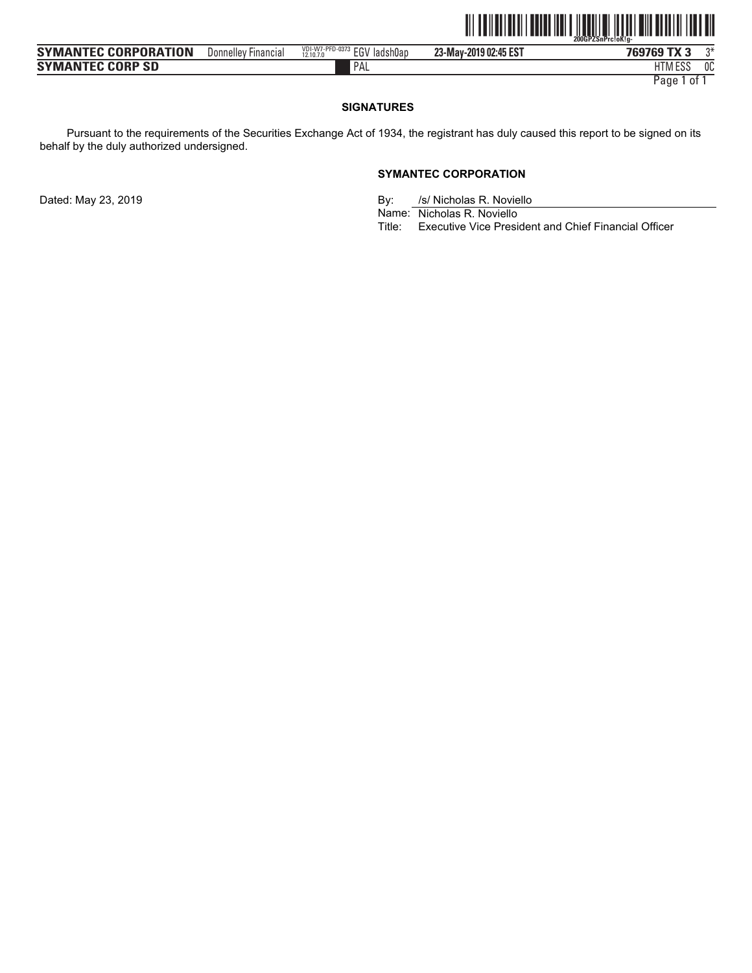

| <b>SYMANTEC CORPORATION</b> | Donnellev<br><b>Financial</b> | VDI-W7-PFD-0373<br><b>EGV</b> ladsh0ap<br>12.10.7.0 | 23-May-2019 02:45 EST | 769769<br>A                 | ∩* |
|-----------------------------|-------------------------------|-----------------------------------------------------|-----------------------|-----------------------------|----|
| <b>SYMANTEC CORP SD</b>     |                               | PAL                                                 |                       | <b>FOO</b><br><b>HIMESS</b> | 0C |
|                             |                               |                                                     |                       |                             |    |

#### **SIGNATURES**

Pursuant to the requirements of the Securities Exchange Act of 1934, the registrant has duly caused this report to be signed on its behalf by the duly authorized undersigned.

#### **SYMANTEC CORPORATION**

Dated: May 23, 2019 **By:** By: *S/Nicholas R. Noviello* 

Dy. **Nicholas R. Novie**<br>Name: Nicholas R. Noviello

Title: Executive Vice President and Chief Financial Officer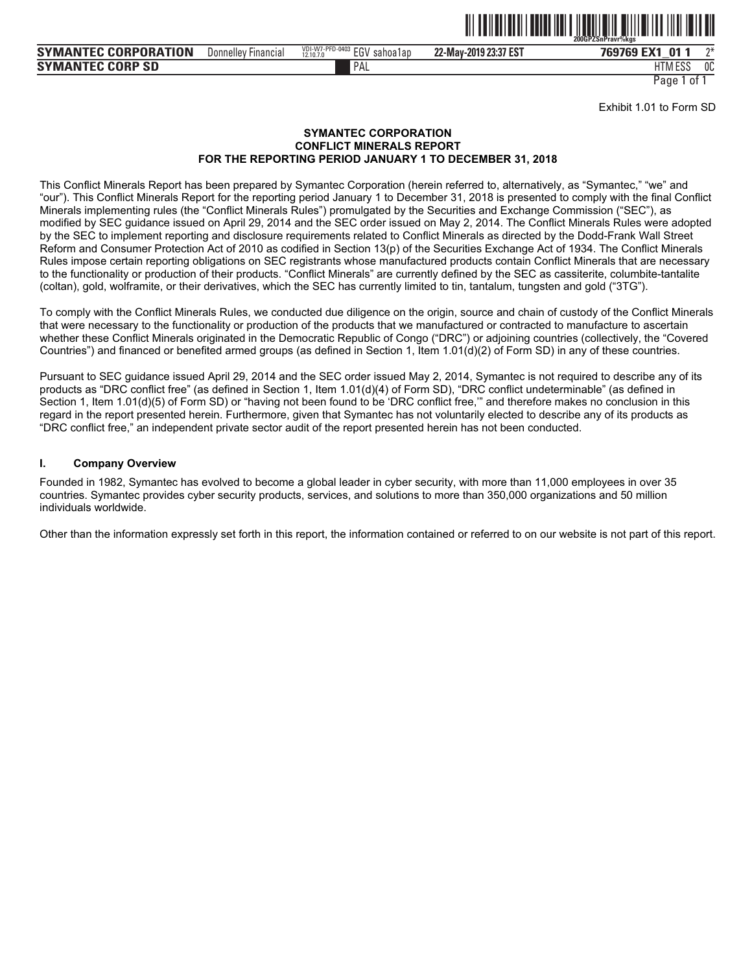

**SYMANTEC CORPORATION** Donnelley Financial  $\frac{1011\sqrt{7} \times FFD-0403}{21107 \times F}$  EGV sahoa1ap 22-May-2019 23:37 EST **769769 EX1 SYMANTEC CORP SD**

Donnelley Financial <sup>vol.ty/</sup>rru-usus EGV sahoa1ap **22-May-2019 23:37 EST 769769 EX1\_01 1** 2\*

PAL FILM IN THE PALL THAT IN THE RELATION OF THE RELATION OF THE RELATIONSHIP OF THE RELATIONSHIP OF THE RELATIONSHIP OF THE RELATIONSHIP OF THE RELATIONSHIP OF THE RELATIONSHIP OF THE RELATIONSHIP OF THE RELATIONSHIP OF T HTM ESS 0C

Page 1 of

Exhibit 1.01 to Form SD

#### **SYMANTEC CORPORATION CONFLICT MINERALS REPORT FOR THE REPORTING PERIOD JANUARY 1 TO DECEMBER 31, 2018**

VDI-W7-PFD-0403 12.10.7.0

This Conflict Minerals Report has been prepared by Symantec Corporation (herein referred to, alternatively, as "Symantec," "we" and "our"). This Conflict Minerals Report for the reporting period January 1 to December 31, 2018 is presented to comply with the final Conflict Minerals implementing rules (the "Conflict Minerals Rules") promulgated by the Securities and Exchange Commission ("SEC"), as modified by SEC guidance issued on April 29, 2014 and the SEC order issued on May 2, 2014. The Conflict Minerals Rules were adopted by the SEC to implement reporting and disclosure requirements related to Conflict Minerals as directed by the Dodd-Frank Wall Street Reform and Consumer Protection Act of 2010 as codified in Section 13(p) of the Securities Exchange Act of 1934. The Conflict Minerals Rules impose certain reporting obligations on SEC registrants whose manufactured products contain Conflict Minerals that are necessary to the functionality or production of their products. "Conflict Minerals" are currently defined by the SEC as cassiterite, columbite-tantalite (coltan), gold, wolframite, or their derivatives, which the SEC has currently limited to tin, tantalum, tungsten and gold ("3TG").

To comply with the Conflict Minerals Rules, we conducted due diligence on the origin, source and chain of custody of the Conflict Minerals that were necessary to the functionality or production of the products that we manufactured or contracted to manufacture to ascertain whether these Conflict Minerals originated in the Democratic Republic of Congo ("DRC") or adjoining countries (collectively, the "Covered Countries") and financed or benefited armed groups (as defined in Section 1, Item 1.01(d)(2) of Form SD) in any of these countries.

Pursuant to SEC guidance issued April 29, 2014 and the SEC order issued May 2, 2014, Symantec is not required to describe any of its products as "DRC conflict free" (as defined in Section 1, Item 1.01(d)(4) of Form SD), "DRC conflict undeterminable" (as defined in Section 1, Item 1.01(d)(5) of Form SD) or "having not been found to be 'DRC conflict free,'" and therefore makes no conclusion in this regard in the report presented herein. Furthermore, given that Symantec has not voluntarily elected to describe any of its products as "DRC conflict free," an independent private sector audit of the report presented herein has not been conducted.

#### **I. Company Overview**

Founded in 1982, Symantec has evolved to become a global leader in cyber security, with more than 11,000 employees in over 35 countries. Symantec provides cyber security products, services, and solutions to more than 350,000 organizations and 50 million individuals worldwide.

Other than the information expressly set forth in this report, the information contained or referred to on our website is not part of this report.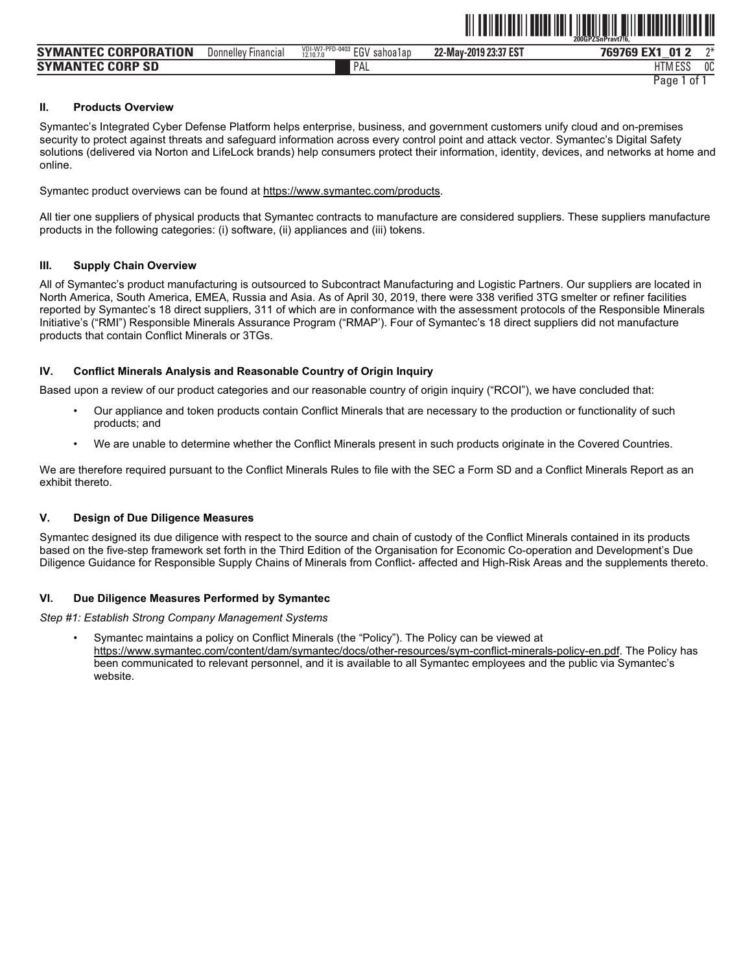|                                                             |                        |                                                        | ----                  | 200GPZSnPravt716,                      |    |
|-------------------------------------------------------------|------------------------|--------------------------------------------------------|-----------------------|----------------------------------------|----|
| PORATION<br><b>SYMAN</b><br><b>CORPO</b><br><b>TEC</b>      | Financial<br>Donnelley | VDI-W7-PFD-04<br>0.500<br>EGV<br>sahoa1ap<br>12.10.7.0 | 22-May-2019 23:37 EST | . n-<br>769769<br><b>FV4</b><br>æ<br>_ | ግ* |
| <b>CORP</b><br><b>SYMA</b><br><b>TEC</b><br><b>SD</b><br>ıΝ |                        | PAL                                                    |                       | <b>LITAL FOO</b><br>H I MI E 22        | 0C |

<u>îlî de nederlîkê bi dewleta nav</u>

Page 1 of 1

#### **II. Products Overview**

Symantec's Integrated Cyber Defense Platform helps enterprise, business, and government customers unify cloud and on-premises security to protect against threats and safeguard information across every control point and attack vector. Symantec's Digital Safety solutions (delivered via Norton and LifeLock brands) help consumers protect their information, identity, devices, and networks at home and online.

Symantec product overviews can be found at https://www.symantec.com/products.

All tier one suppliers of physical products that Symantec contracts to manufacture are considered suppliers. These suppliers manufacture products in the following categories: (i) software, (ii) appliances and (iii) tokens.

#### **III. Supply Chain Overview**

All of Symantec's product manufacturing is outsourced to Subcontract Manufacturing and Logistic Partners. Our suppliers are located in North America, South America, EMEA, Russia and Asia. As of April 30, 2019, there were 338 verified 3TG smelter or refiner facilities reported by Symantec's 18 direct suppliers, 311 of which are in conformance with the assessment protocols of the Responsible Minerals Initiative's ("RMI") Responsible Minerals Assurance Program ("RMAP'). Four of Symantec's 18 direct suppliers did not manufacture products that contain Conflict Minerals or 3TGs.

#### **IV. Conflict Minerals Analysis and Reasonable Country of Origin Inquiry**

Based upon a review of our product categories and our reasonable country of origin inquiry ("RCOI"), we have concluded that:

- Our appliance and token products contain Conflict Minerals that are necessary to the production or functionality of such products; and
- We are unable to determine whether the Conflict Minerals present in such products originate in the Covered Countries.

We are therefore required pursuant to the Conflict Minerals Rules to file with the SEC a Form SD and a Conflict Minerals Report as an exhibit thereto.

#### **V. Design of Due Diligence Measures**

Symantec designed its due diligence with respect to the source and chain of custody of the Conflict Minerals contained in its products based on the five-step framework set forth in the Third Edition of the Organisation for Economic Co-operation and Development's Due Diligence Guidance for Responsible Supply Chains of Minerals from Conflict- affected and High-Risk Areas and the supplements thereto.

#### **VI. Due Diligence Measures Performed by Symantec**

*Step #1: Establish Strong Company Management Systems* 

• Symantec maintains a policy on Conflict Minerals (the "Policy"). The Policy can be viewed at https://www.symantec.com/content/dam/symantec/docs/other-resources/sym-conflict-minerals-policy-en.pdf. The Policy has been communicated to relevant personnel, and it is available to all Symantec employees and the public via Symantec's website.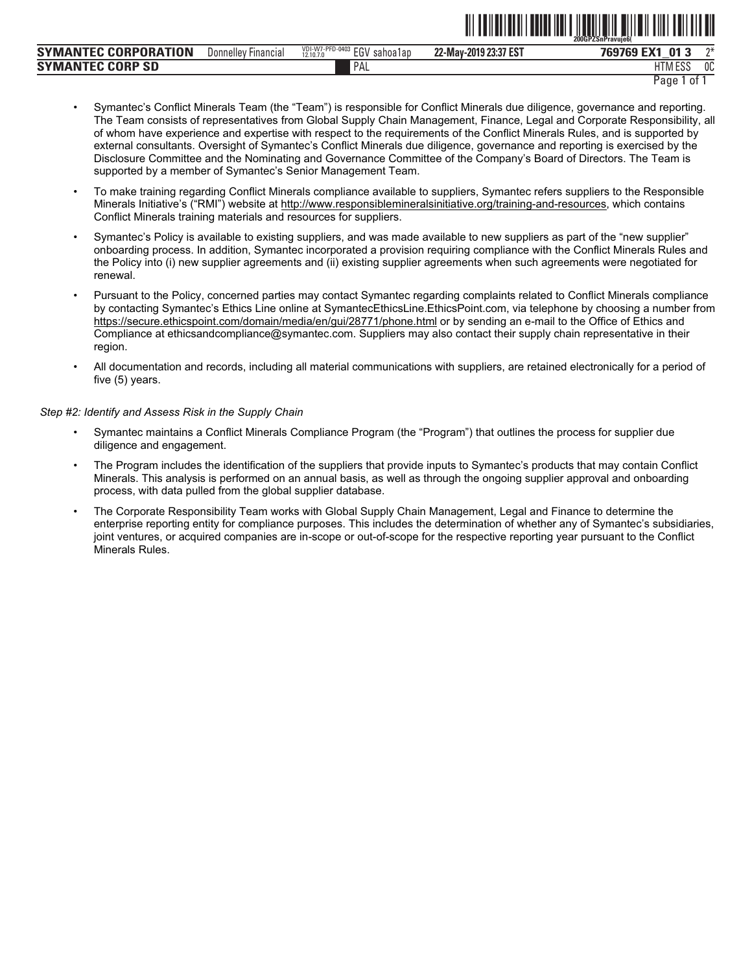|                                   |                               |                                                        |                       | 200GPZSnPravuie6                 |    |
|-----------------------------------|-------------------------------|--------------------------------------------------------|-----------------------|----------------------------------|----|
| <b>SYMANTEC CORPORATION</b>       | Donnellev<br><b>Financial</b> | VDI-W7-PFD-0403<br><b>EGV</b><br>sahoa1ap<br>12.10.7.0 | 22-May-2019 23:37 EST | EX <sub>1</sub><br>769769<br>013 | ባች |
| <b>SYMANTEC CORP</b><br><b>SD</b> |                               | PAL                                                    |                       | <b>AFOO</b><br>111V              | 0C |
|                                   |                               |                                                        |                       |                                  | -- |

Page 1 of 1

<u> 111 | 1211 | 1311 | 1321 | 1331 | 1331 | 1331 | 1341 | 1351 | 1361 | 1371 | 1381 | 1391 | 1391 | 1391 | 1391 </u>

- Symantec's Conflict Minerals Team (the "Team") is responsible for Conflict Minerals due diligence, governance and reporting. The Team consists of representatives from Global Supply Chain Management, Finance, Legal and Corporate Responsibility, all of whom have experience and expertise with respect to the requirements of the Conflict Minerals Rules, and is supported by external consultants. Oversight of Symantec's Conflict Minerals due diligence, governance and reporting is exercised by the Disclosure Committee and the Nominating and Governance Committee of the Company's Board of Directors. The Team is supported by a member of Symantec's Senior Management Team.
- To make training regarding Conflict Minerals compliance available to suppliers. Symantec refers suppliers to the Responsible Minerals Initiative's ("RMI") website at http://www.responsiblemineralsinitiative.org/training-and-resources, which contains Conflict Minerals training materials and resources for suppliers.
- Symantec's Policy is available to existing suppliers, and was made available to new suppliers as part of the "new supplier" onboarding process. In addition, Symantec incorporated a provision requiring compliance with the Conflict Minerals Rules and the Policy into (i) new supplier agreements and (ii) existing supplier agreements when such agreements were negotiated for renewal.
- Pursuant to the Policy, concerned parties may contact Symantec regarding complaints related to Conflict Minerals compliance by contacting Symantec's Ethics Line online at SymantecEthicsLine.EthicsPoint.com, via telephone by choosing a number from https://secure.ethicspoint.com/domain/media/en/gui/28771/phone.html or by sending an e-mail to the Office of Ethics and Compliance at ethicsandcompliance@symantec.com. Suppliers may also contact their supply chain representative in their region.
- All documentation and records, including all material communications with suppliers, are retained electronically for a period of five (5) years.

#### Step #2: Identify and Assess Risk in the Supply Chain

- Symantec maintains a Conflict Minerals Compliance Program (the "Program") that outlines the process for supplier due diligence and engagement.
- The Program includes the identification of the suppliers that provide inputs to Symantec's products that may contain Conflict Minerals. This analysis is performed on an annual basis, as well as through the ongoing supplier approval and onboarding process, with data pulled from the global supplier database.
- The Corporate Responsibility Team works with Global Supply Chain Management, Legal and Finance to determine the enterprise reporting entity for compliance purposes. This includes the determination of whether any of Symantec's subsidiaries, joint ventures, or acquired companies are in-scope or out-of-scope for the respective reporting year pursuant to the Conflict Minerals Rules.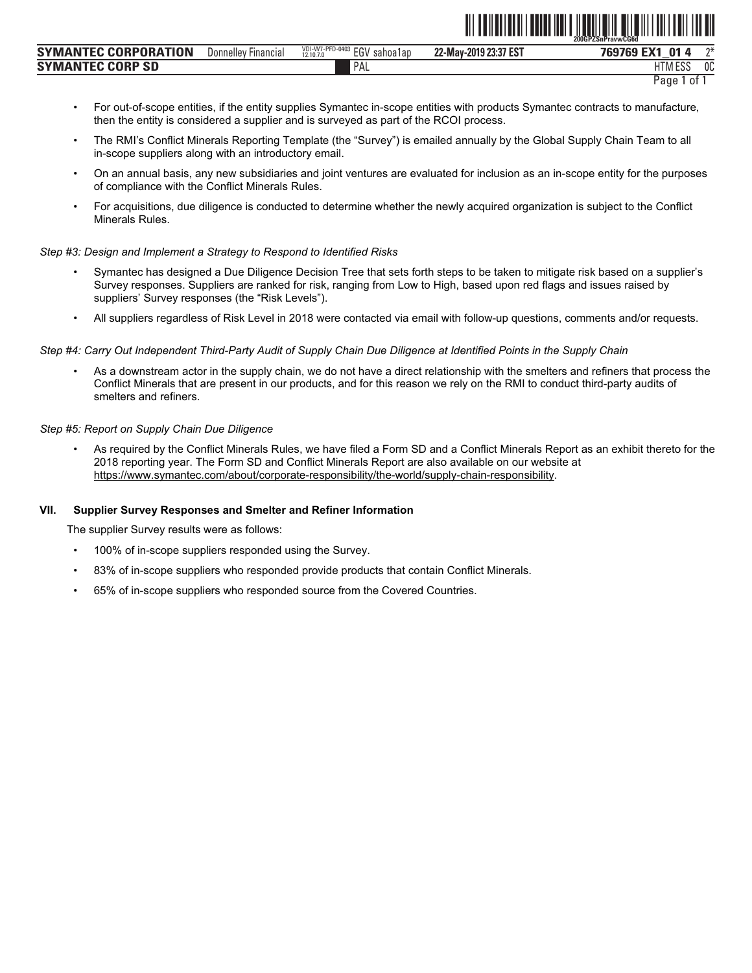|                                          |                          |                                                 |                       | ZUUUFZƏIIFIAVWUUUU                |    |
|------------------------------------------|--------------------------|-------------------------------------------------|-----------------------|-----------------------------------|----|
| NTEC CORPORATION<br><b>SYMAN</b>         | Donnelley<br>' Financial | VDI-W7-PFD-0403<br>EGV<br>sahoa1ap<br>12.10.7.0 | 22-May-2019 23:37 EST | <b>EMA</b><br><b>01</b><br>-<br>_ | ባች |
| <b>CORP</b><br><b>SYMAN</b><br><b>SD</b> |                          | PAL                                             |                       | 1.500<br><b>ITN</b><br>LU J       | 0C |

**THE CONGRESSION CONGRESS IN THE CONGRESS OF A SECTION CONGRESS OF A SECTION CONGRESS OF A SECTION CONGRESS OF A** 

- For out-of-scope entities, if the entity supplies Symantec in-scope entities with products Symantec contracts to manufacture, then the entity is considered a supplier and is surveyed as part of the RCOI process.
- The RMI's Conflict Minerals Reporting Template (the "Survey") is emailed annually by the Global Supply Chain Team to all in-scope suppliers along with an introductory email.
- On an annual basis, any new subsidiaries and joint ventures are evaluated for inclusion as an in-scope entity for the purposes of compliance with the Conflict Minerals Rules.
- For acquisitions, due diligence is conducted to determine whether the newly acquired organization is subject to the Conflict Minerals Rules.

#### *Step #3: Design and Implement a Strategy to Respond to Identified Risks*

- Symantec has designed a Due Diligence Decision Tree that sets forth steps to be taken to mitigate risk based on a supplier's Survey responses. Suppliers are ranked for risk, ranging from Low to High, based upon red flags and issues raised by suppliers' Survey responses (the "Risk Levels").
- All suppliers regardless of Risk Level in 2018 were contacted via email with follow-up questions, comments and/or requests.

#### *Step #4: Carry Out Independent Third-Party Audit of Supply Chain Due Diligence at Identified Points in the Supply Chain*

• As a downstream actor in the supply chain, we do not have a direct relationship with the smelters and refiners that process the Conflict Minerals that are present in our products, and for this reason we rely on the RMI to conduct third-party audits of smelters and refiners.

#### *Step #5: Report on Supply Chain Due Diligence*

• As required by the Conflict Minerals Rules, we have filed a Form SD and a Conflict Minerals Report as an exhibit thereto for the 2018 reporting year. The Form SD and Conflict Minerals Report are also available on our website at https://www.symantec.com/about/corporate-responsibility/the-world/supply-chain-responsibility.

#### **VII. Supplier Survey Responses and Smelter and Refiner Information**

The supplier Survey results were as follows:

- 100% of in-scope suppliers responded using the Survey.
- 83% of in-scope suppliers who responded provide products that contain Conflict Minerals.
- 65% of in-scope suppliers who responded source from the Covered Countries.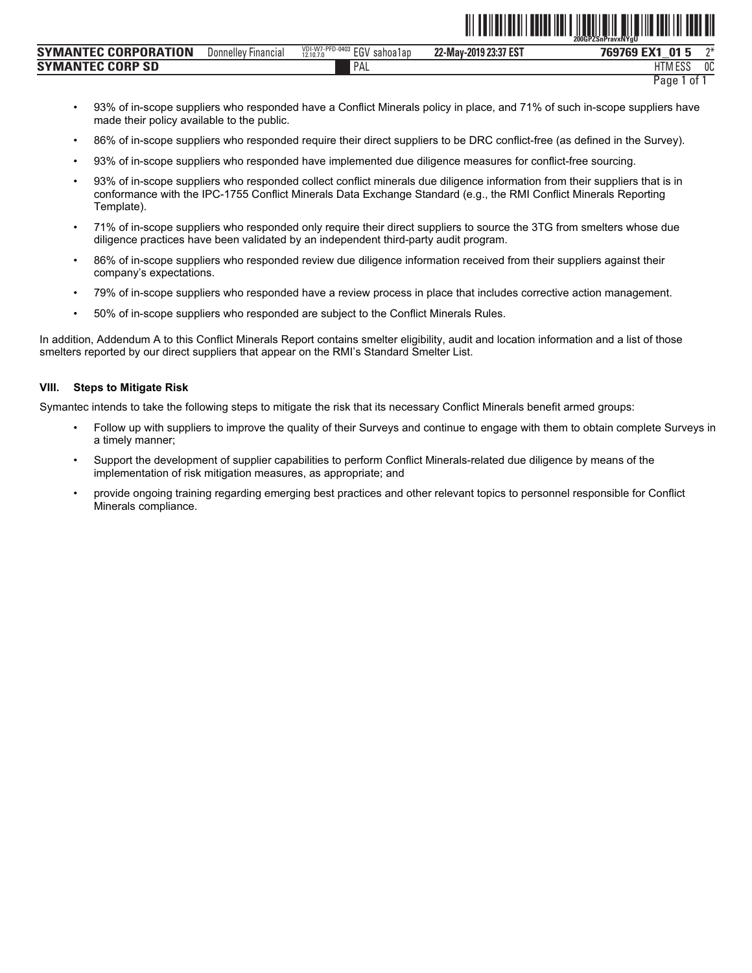|                                                |                               |                                                              | .                     | 200GPZSnPravxNYaU                             |        |
|------------------------------------------------|-------------------------------|--------------------------------------------------------------|-----------------------|-----------------------------------------------|--------|
| <b>CORPORATION</b><br><b>SYMA</b><br>. IV      | Donnelley<br><b>Financial</b> | VDI-W7-PFD-0403<br><b>FGV</b><br>sahoa1ap<br>12,10.7.0<br>-- | 22-May-2019 23:37 EST | 01<br>. For 100<br><b>RARACA</b><br>- 11<br>_ | $\sim$ |
| <b>CORP</b><br><b>SD</b><br><b>SYMA</b><br>'NN |                               | PAL                                                          |                       | 1.500<br><b>HTML</b><br>.<br>LUU              | 0C     |
|                                                |                               |                                                              |                       |                                               | . .    |

<u>oli ordinalizmo i navni dina di matematika di sve da sve na sve</u>

- 93% of in-scope suppliers who responded have a Conflict Minerals policy in place, and 71% of such in-scope suppliers have made their policy available to the public.
- 86% of in-scope suppliers who responded require their direct suppliers to be DRC conflict-free (as defined in the Survey).
- 93% of in-scope suppliers who responded have implemented due diligence measures for conflict-free sourcing.
- 93% of in-scope suppliers who responded collect conflict minerals due diligence information from their suppliers that is in conformance with the IPC-1755 Conflict Minerals Data Exchange Standard (e.g., the RMI Conflict Minerals Reporting Template).
- 71% of in-scope suppliers who responded only require their direct suppliers to source the 3TG from smelters whose due diligence practices have been validated by an independent third-party audit program.
- 86% of in-scope suppliers who responded review due diligence information received from their suppliers against their company's expectations.
- 79% of in-scope suppliers who responded have a review process in place that includes corrective action management.
- 50% of in-scope suppliers who responded are subject to the Conflict Minerals Rules.

In addition, Addendum A to this Conflict Minerals Report contains smelter eligibility, audit and location information and a list of those smelters reported by our direct suppliers that appear on the RMI's Standard Smelter List.

#### **VIII. Steps to Mitigate Risk**

Symantec intends to take the following steps to mitigate the risk that its necessary Conflict Minerals benefit armed groups:

- Follow up with suppliers to improve the quality of their Surveys and continue to engage with them to obtain complete Surveys in a timely manner;
- Support the development of supplier capabilities to perform Conflict Minerals-related due diligence by means of the implementation of risk mitigation measures, as appropriate; and
- provide ongoing training regarding emerging best practices and other relevant topics to personnel responsible for Conflict Minerals compliance.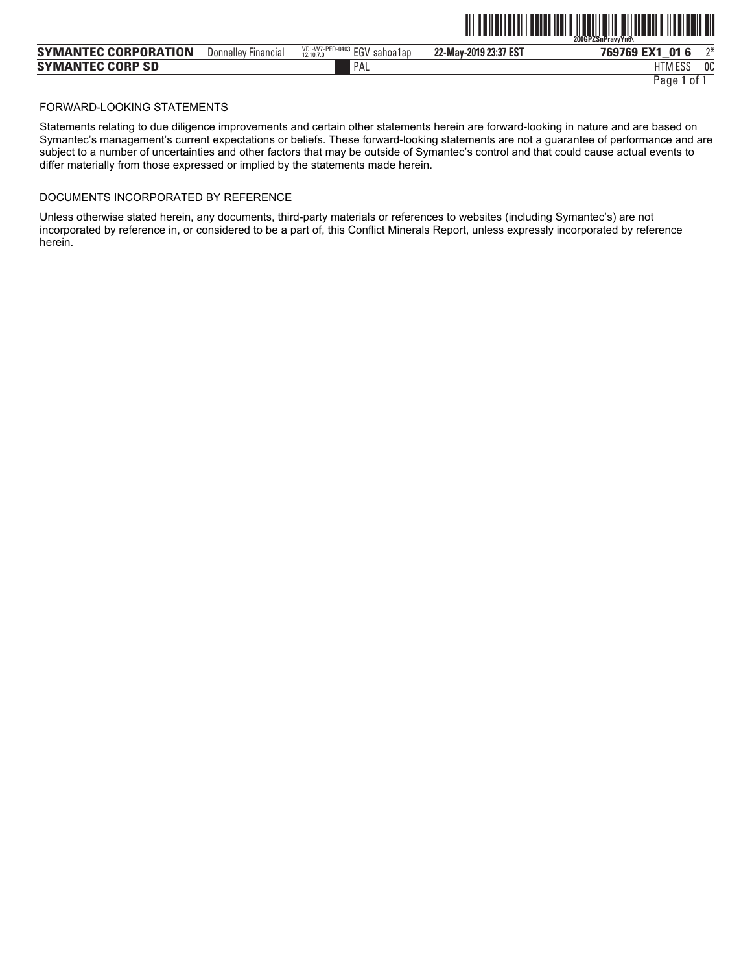|                             |                     |                                                 |                       | 200GPZSnPravvYn6\          |               |
|-----------------------------|---------------------|-------------------------------------------------|-----------------------|----------------------------|---------------|
| <b>SYMANTEC CORPORATION</b> | Donnelley Financial | VDI-W7-PFD-0403<br>EGV<br>sahoa1an<br>12.10.7.0 | 22-May-2019 23:37 EST | 01<br><b>FMA</b><br>769769 | $n+$          |
| <b>SYMANTEC CORP SD</b>     |                     | PAL                                             |                       | 1.500<br>י דו<br>HIM ESJ   | $\sim$<br>UU. |

<u>oli od inglesi i materiali ilgeri milion di ilgeri sultan di </u>

### FORWARD-LOOKING STATEMENTS

Statements relating to due diligence improvements and certain other statements herein are forward-looking in nature and are based on Symantec's management's current expectations or beliefs. These forward-looking statements are not a guarantee of performance and are subject to a number of uncertainties and other factors that may be outside of Symantec's control and that could cause actual events to differ materially from those expressed or implied by the statements made herein.

## DOCUMENTS INCORPORATED BY REFERENCE

Unless otherwise stated herein, any documents, third-party materials or references to websites (including Symantec's) are not incorporated by reference in, or considered to be a part of, this Conflict Minerals Report, unless expressly incorporated by reference herein.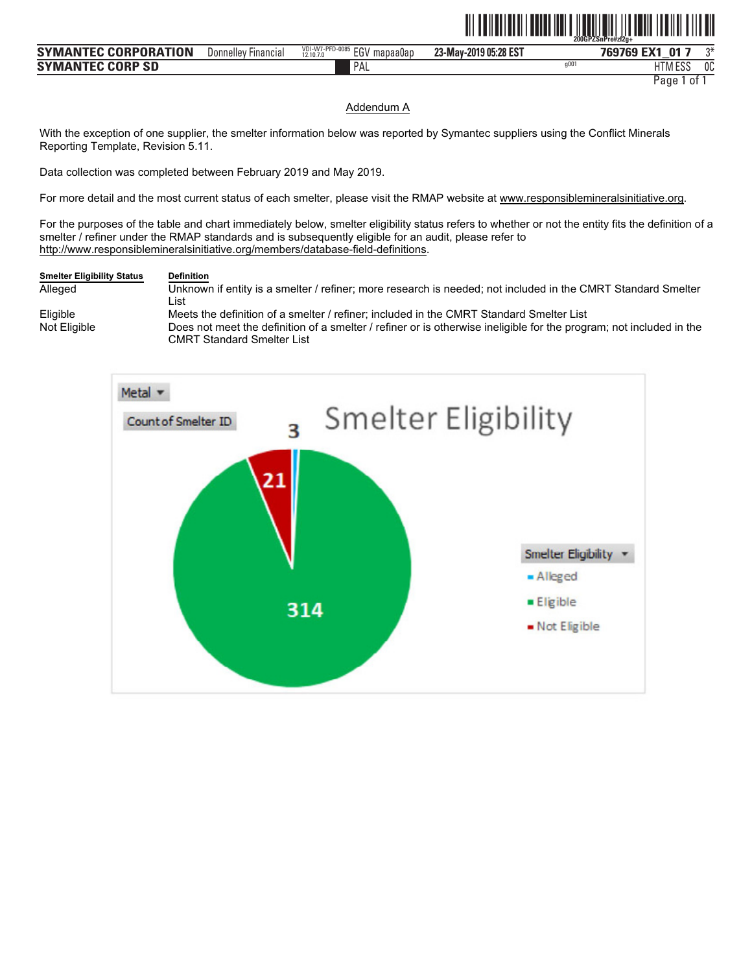|                      |                     |                                              |                       | 200GPZSnPre#zf2a+ |         |    |
|----------------------|---------------------|----------------------------------------------|-----------------------|-------------------|---------|----|
| SYMANTEC CORPORATION | Donnelley Financial | VDI-W7-PFD-0085 EGV<br>mapaa0ac<br>12.10.7.0 | 23-May-2019 05:28 EST | 769769 EX1        | - 01    | ገ* |
| SYMANTEC CORP SD     |                     | PAL                                          |                       | q00               | HTM ESS | 0C |

<u>ote na matematika matematika katika matematika matematika matematika matematika matematika matematika matematik</u>

#### Addendum A

With the exception of one supplier, the smelter information below was reported by Symantec suppliers using the Conflict Minerals Reporting Template, Revision 5.11.

Data collection was completed between February 2019 and May 2019.

For more detail and the most current status of each smelter, please visit the RMAP website at www.responsiblemineralsinitiative.org.

For the purposes of the table and chart immediately below, smelter eligibility status refers to whether or not the entity fits the definition of a smelter / refiner under the RMAP standards and is subsequently eligible for an audit, please refer to http://www.responsiblemineralsinitiative.org/members/database-field-definitions.

## **Smelter Eligibility Status Definition** Alleged Unknown if entity is a smelter / refiner; more research is needed; not included in the CMRT Standard Smelter

List Eligible Meets the definition of a smelter / refiner; included in the CMRT Standard Smelter List<br>Not Eligible **Society Constant Constant Constant** Not Eligible for the progress of the definition of a smelter *l* refiner or Does not meet the definition of a smelter / refiner or is otherwise ineligible for the program; not included in the CMRT Standard Smelter List

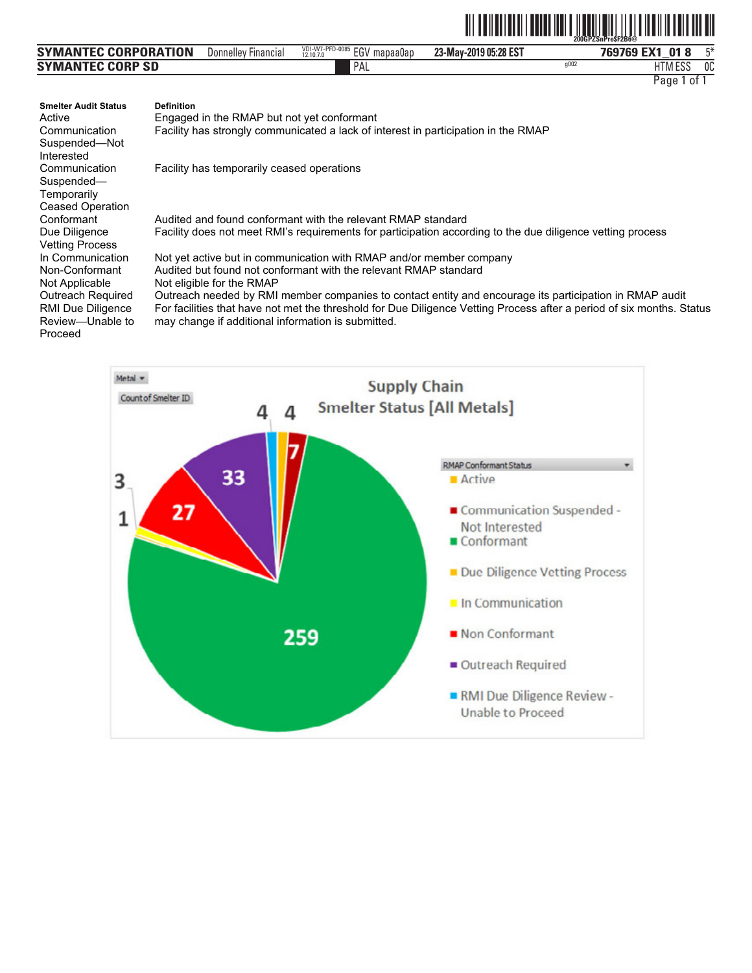|                             |                                     |                                                               |                       |      | 200GPZSnPreSFZB6@                             |               |
|-----------------------------|-------------------------------------|---------------------------------------------------------------|-----------------------|------|-----------------------------------------------|---------------|
| <b>SYMANTEC CORPORATION</b> | $- \cdot$<br>Donnelley<br>Financial | VDI-W7-PFD-0085<br><b>FCI</b><br>mapaa0ap<br>cur<br>12.10.7.0 | 23-May-2019 05:28 EST |      | $\mathbf{0}^{\prime}$<br><b>FMA</b><br>769769 | <b>FM</b>     |
| <b>SYMANTEC CORP SD</b>     |                                     | PAL                                                           |                       | q002 | 1.500<br>۱۱⊤۱<br>H I M ESS                    | $\sim$<br>็บบ |

ˆ200GPZSnPre\$F2B6@Š **200GPZSnPre\$F2B6@**

| <b>Smelter Audit Status</b> | <b>Definition</b>                                                                                                     |
|-----------------------------|-----------------------------------------------------------------------------------------------------------------------|
| Active                      | Engaged in the RMAP but not yet conformant                                                                            |
| Communication               | Facility has strongly communicated a lack of interest in participation in the RMAP                                    |
| Suspended-Not               |                                                                                                                       |
| Interested                  |                                                                                                                       |
| Communication               | Facility has temporarily ceased operations                                                                            |
| Suspended-                  |                                                                                                                       |
| Temporarily                 |                                                                                                                       |
| <b>Ceased Operation</b>     |                                                                                                                       |
| Conformant                  | Audited and found conformant with the relevant RMAP standard                                                          |
| Due Diligence               | Facility does not meet RMI's requirements for participation according to the due diligence vetting process            |
| <b>Vetting Process</b>      |                                                                                                                       |
| In Communication            | Not yet active but in communication with RMAP and/or member company                                                   |
| Non-Conformant              | Audited but found not conformant with the relevant RMAP standard                                                      |
| Not Applicable              | Not eligible for the RMAP                                                                                             |
| Outreach Required           | Outreach needed by RMI member companies to contact entity and encourage its participation in RMAP audit               |
| <b>RMI Due Diligence</b>    | For facilities that have not met the threshold for Due Diligence Vetting Process after a period of six months. Status |
| Review-Unable to            | may change if additional information is submitted.                                                                    |
| Proceed                     |                                                                                                                       |

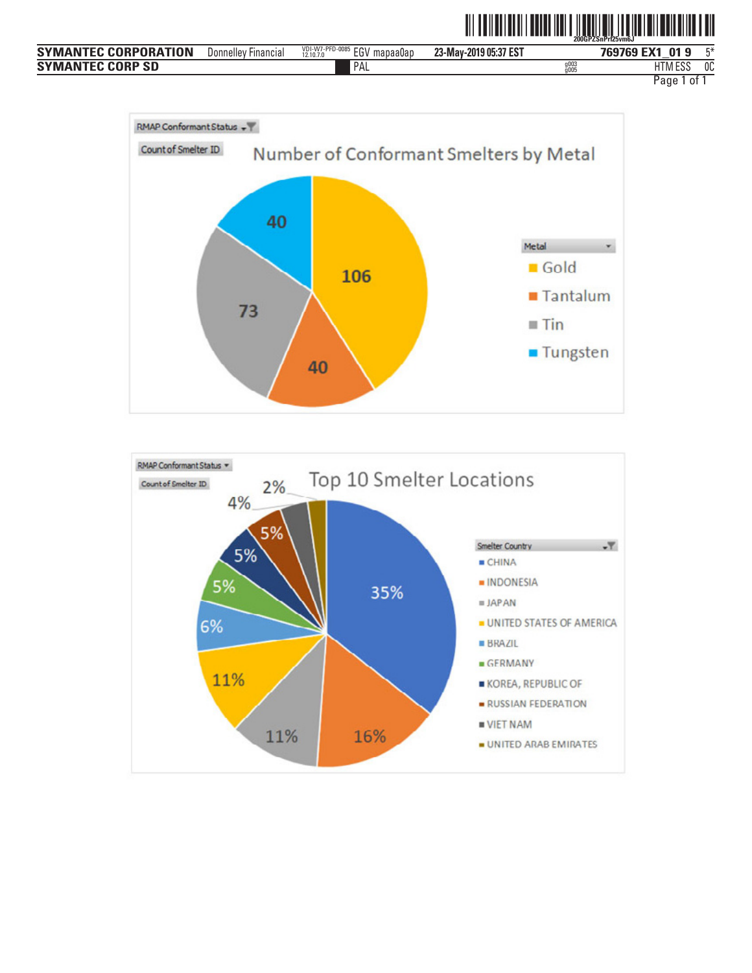|                             |                        |                                                   |                       |      | <b>TITLE IN THE REAL PROPERTY AND A SUBSEX SPRESSURES OF LEVEL BUILDING IN THE REAL</b> |    |
|-----------------------------|------------------------|---------------------------------------------------|-----------------------|------|-----------------------------------------------------------------------------------------|----|
| <b>SYMANTEC CORPORATION</b> | Financial<br>Donnellev | VDI-W7-PFD-0085<br>EGV<br>' mapaa0ap<br>12.10.7.0 | 23-May-2019 05:37 EST |      | 769769 EX1 01 9                                                                         | г* |
| <b>SYMANTEC CORP SD</b>     |                        | PAL                                               |                       | a00. | <b>HTM ESS</b>                                                                          | 0C |
|                             |                        |                                                   |                       |      | Pano<br>nt.                                                                             |    |

<u> 111 | 1211 | 1311 | 1312 | 1311 | 1321 | 1311 | 1312 | 1313 | 1414 | 1515 | 1516 | 151</u>



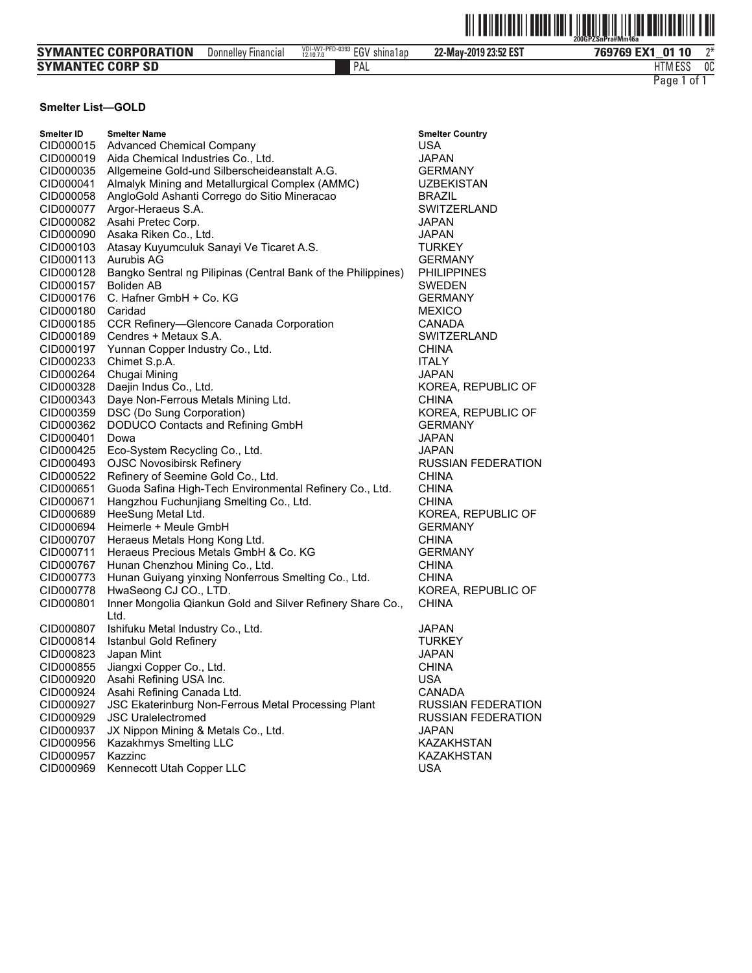|                             |                            |                              | <u> III III IIII IIII</u> | Ш<br>IIII<br>200GPZSnPra#Mm46a |
|-----------------------------|----------------------------|------------------------------|---------------------------|--------------------------------|
| <b>SYMANTEC CORPORATION</b> | <b>Donnelley Financial</b> | VDI-W7-PFD-0393 EGV shina1ap | 22-May-2019 23:52 EST     | ግ*<br>769769 EX1 01 10         |
| <b>SYMANTEC CORP SD</b>     |                            | PAL                          |                           | 0C<br><b>HTM ESS</b>           |
|                             |                            |                              |                           | . of<br>Page 1                 |

#### **Smelter List-GOLD**

| Smelter ID | <b>Smelter Name</b>                                                | Smelter (      |
|------------|--------------------------------------------------------------------|----------------|
| CID000015  | <b>Advanced Chemical Company</b>                                   | USA            |
| CID000019  | Aida Chemical Industries Co., Ltd.                                 | JAPAN          |
| CID000035  | Allgemeine Gold-und Silberscheideanstalt A.G.                      | <b>GERMA</b>   |
| CID000041  | Almalyk Mining and Metallurgical Complex (AMMC)                    | <b>UZBEK</b>   |
| CID000058  | AngloGold Ashanti Corrego do Sitio Mineracao                       | <b>BRAZIL</b>  |
| CID000077  | Argor-Heraeus S.A.                                                 | <b>SWITZE</b>  |
| CID000082  | Asahi Pretec Corp.                                                 | <b>JAPAN</b>   |
| CID000090  | Asaka Riken Co., Ltd.                                              | <b>JAPAN</b>   |
| CID000103  | Atasay Kuyumculuk Sanayi Ve Ticaret A.S.                           | <b>TURKE</b>   |
| CID000113  | Aurubis AG                                                         | <b>GERMA</b>   |
| CID000128  | Bangko Sentral ng Pilipinas (Central Bank of the Philippines)      | <b>PHILIPI</b> |
| CID000157  | <b>Boliden AB</b>                                                  | Swede          |
| CID000176  | C. Hafner GmbH + Co. KG                                            | <b>GERMA</b>   |
| CID000180  | Caridad                                                            | <b>MEXIC</b>   |
| CID000185  | CCR Refinery-Glencore Canada Corporation                           | CANAD          |
| CID000189  | Cendres + Metaux S.A.                                              | <b>SWITZE</b>  |
| CID000197  | Yunnan Copper Industry Co., Ltd.                                   | CHINA          |
| CID000233  | Chimet S.p.A.                                                      | <b>ITALY</b>   |
| CID000264  | Chugai Mining                                                      | JAPAN          |
| CID000328  | Daejin Indus Co., Ltd.                                             | <b>KOREA</b>   |
| CID000343  | Daye Non-Ferrous Metals Mining Ltd.                                | <b>CHINA</b>   |
| CID000359  | DSC (Do Sung Corporation)                                          | <b>KOREA</b>   |
|            |                                                                    |                |
| CID000362  | DODUCO Contacts and Refining GmbH                                  | <b>GERMA</b>   |
| CID000401  | Dowa                                                               | JAPAN          |
| CID000425  | Eco-System Recycling Co., Ltd.                                     | <b>JAPAN</b>   |
| CID000493  | <b>OJSC Novosibirsk Refinery</b>                                   | <b>RUSSI/</b>  |
| CID000522  | Refinery of Seemine Gold Co., Ltd.                                 | CHINA          |
| CID000651  | Guoda Safina High-Tech Environmental Refinery Co., Ltd.            | CHINA          |
| CID000671  | Hangzhou Fuchunjiang Smelting Co., Ltd.                            | CHINA          |
| CID000689  | HeeSung Metal Ltd.                                                 | KOREA          |
| CID000694  | Heimerle + Meule GmbH                                              | <b>GERMA</b>   |
| CID000707  | Heraeus Metals Hong Kong Ltd.                                      | CHINA          |
| CID000711  | Heraeus Precious Metals GmbH & Co. KG                              | <b>GERMA</b>   |
| CID000767  | Hunan Chenzhou Mining Co., Ltd.                                    | <b>CHINA</b>   |
| CID000773  | Hunan Guiyang yinxing Nonferrous Smelting Co., Ltd.                | <b>CHINA</b>   |
| CID000778  | HwaSeong CJ CO., LTD.                                              | <b>KOREA</b>   |
| CID000801  | Inner Mongolia Qiankun Gold and Silver Refinery Share Co.,<br>Ltd. | <b>CHINA</b>   |
| CID000807  | Ishifuku Metal Industry Co., Ltd.                                  | JAPAN          |
| CID000814  | Istanbul Gold Refinery                                             | TURKE          |
| CID000823  | Japan Mint                                                         | JAPAN          |
|            |                                                                    |                |
| CID000855  | Jiangxi Copper Co., Ltd.                                           | CHINA          |
| CID000920  | Asahi Refining USA Inc.                                            | USA            |
| CID000924  | Asahi Refining Canada Ltd.                                         | CANAD          |
| CID000927  | <b>JSC Ekaterinburg Non-Ferrous Metal Processing Plant</b>         | <b>RUSSI</b>   |
| CID000929  | <b>JSC Uralelectromed</b>                                          | <b>RUSSI/</b>  |
| CID000937  | JX Nippon Mining & Metals Co., Ltd.                                | <b>JAPAN</b>   |
| CID000956  | Kazakhmys Smelting LLC                                             | <b>KAZAKI</b>  |
| CID000957  | Kazzinc                                                            | <b>KAZAK</b>   |
| CID000969  | Kennecott Utah Copper LLC                                          | <b>USA</b>     |

Country **ANY ISTAN** ERLAND Y. .<br>ANY **PINES** ΞN ANY O )A ERLAND A, REPUBLIC OF A, REPUBLIC OF ANY AN FEDERATION ), REPUBLIC OF<br>ANY ANY A, REPUBLIC OF Y. )A AN FEDERATION AN FEDERATION **HSTAN HSTAN**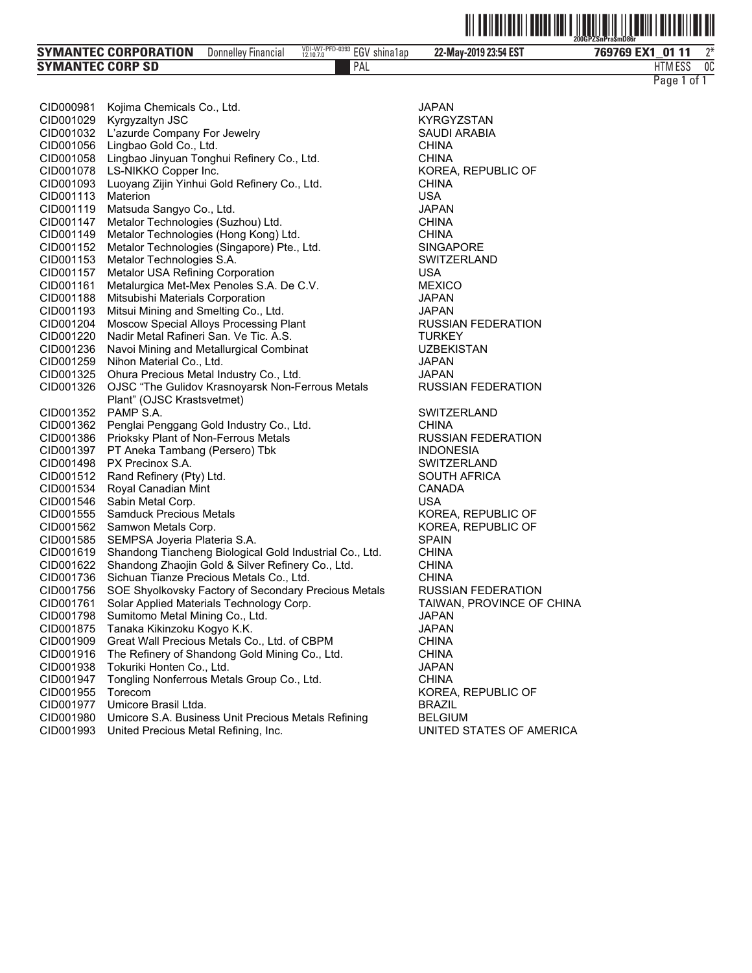|--|--|

| PAL<br>1.738772<br><b>SYMANTEC CORP SD</b><br>11M ESS | <b>SYMANTEC CORPORATION</b> | Donnelley Financial | VDI-W7-PFD-0393 ECV<br>shina1ap<br>EG V<br>12.10.7.0 | 22-May-2019 23:54 EST | 769769 EX1<br>0111 | $n*$ |
|-------------------------------------------------------|-----------------------------|---------------------|------------------------------------------------------|-----------------------|--------------------|------|
|                                                       |                             |                     |                                                      |                       |                    | 0C   |

| CID000981              | Kojima Chemicals Co., Ltd.                                                                                   | JAPAN                        |
|------------------------|--------------------------------------------------------------------------------------------------------------|------------------------------|
| CID001029              | Kyrgyzaltyn JSC                                                                                              | KYRGYZ                       |
| CID001032              | L'azurde Company For Jewelry                                                                                 | SAUDI AI                     |
| CID001056              | Lingbao Gold Co., Ltd.                                                                                       | <b>CHINA</b>                 |
| CID001058              | Lingbao Jinyuan Tonghui Refinery Co., Ltd.                                                                   | <b>CHINA</b>                 |
| CID001078              | LS-NIKKO Copper Inc.                                                                                         | KOREA, I                     |
| CID001093              | Luoyang Zijin Yinhui Gold Refinery Co., Ltd.                                                                 | <b>CHINA</b>                 |
| CID001113              | Materion                                                                                                     | USA                          |
| CID001119              | Matsuda Sangyo Co., Ltd.                                                                                     | JAPAN                        |
| CID001147              | Metalor Technologies (Suzhou) Ltd.                                                                           | CHINA                        |
| CID001149              | Metalor Technologies (Hong Kong) Ltd.                                                                        | <b>CHINA</b>                 |
| CID001152<br>CID001153 | Metalor Technologies (Singapore) Pte., Ltd.<br>Metalor Technologies S.A.                                     | <b>SINGAPO</b><br>SWITZEF    |
| CID001157              | Metalor USA Refining Corporation                                                                             | <b>USA</b>                   |
| CID001161              | Metalurgica Met-Mex Penoles S.A. De C.V.                                                                     | <b>MEXICO</b>                |
| CID001188              | Mitsubishi Materials Corporation                                                                             | <b>JAPAN</b>                 |
| CID001193              | Mitsui Mining and Smelting Co., Ltd.                                                                         | <b>JAPAN</b>                 |
| CID001204              | Moscow Special Alloys Processing Plant                                                                       | <b>RUSSIAN</b>               |
| CID001220              | Nadir Metal Rafineri San. Ve Tic. A.S.                                                                       | <b>TURKEY</b>                |
| CID001236              | Navoi Mining and Metallurgical Combinat                                                                      | <b>UZBEKIS</b>               |
| CID001259              | Nihon Material Co., Ltd.                                                                                     | JAPAN                        |
| CID001325              | Ohura Precious Metal Industry Co., Ltd.                                                                      | <b>JAPAN</b>                 |
| CID001326              | OJSC "The Gulidov Krasnoyarsk Non-Ferrous Metals                                                             | <b>RUSSIAN</b>               |
|                        | Plant" (OJSC Krastsvetmet)                                                                                   |                              |
| CID001352              | PAMP S.A.                                                                                                    | <b>SWITZEF</b>               |
| CID001362              | Penglai Penggang Gold Industry Co., Ltd.                                                                     | <b>CHINA</b>                 |
| CID001386              | Prioksky Plant of Non-Ferrous Metals                                                                         | <b>RUSSIAN</b>               |
| CID001397              | PT Aneka Tambang (Persero) Tbk                                                                               | <b>INDONES</b>               |
| CID001498              | PX Precinox S.A.                                                                                             | <b>SWITZEF</b>               |
| CID001512              | Rand Refinery (Pty) Ltd.                                                                                     | SOUTH A                      |
| CID001534              | Royal Canadian Mint                                                                                          | CANADA                       |
| CID001546              | Sabin Metal Corp.                                                                                            | <b>USA</b>                   |
| CID001555              | <b>Samduck Precious Metals</b>                                                                               | KOREA,                       |
| CID001562              | Samwon Metals Corp.                                                                                          | KOREA, I                     |
| CID001585<br>CID001619 | SEMPSA Joyeria Plateria S.A.                                                                                 | <b>SPAIN</b><br><b>CHINA</b> |
| CID001622              | Shandong Tiancheng Biological Gold Industrial Co., Ltd.<br>Shandong Zhaojin Gold & Silver Refinery Co., Ltd. | CHINA                        |
| CID001736              | Sichuan Tianze Precious Metals Co., Ltd.                                                                     | <b>CHINA</b>                 |
| CID001756              | SOE Shyolkovsky Factory of Secondary Precious Metals                                                         | RUSSIAN                      |
| CID001761              | Solar Applied Materials Technology Corp.                                                                     | TAIWAN,                      |
| CID001798              | Sumitomo Metal Mining Co., Ltd.                                                                              | <b>JAPAN</b>                 |
| CID001875              | Tanaka Kikinzoku Kogyo K.K.                                                                                  | <b>JAPAN</b>                 |
| CID001909              | Great Wall Precious Metals Co., Ltd. of CBPM                                                                 | CHINA                        |
| CID001916              | The Refinery of Shandong Gold Mining Co., Ltd.                                                               | <b>CHINA</b>                 |
| CID001938              | Tokuriki Honten Co., Ltd.                                                                                    | JAPAN                        |
| CID001947              | Tongling Nonferrous Metals Group Co., Ltd.                                                                   | <b>CHINA</b>                 |
| CID001955              | Torecom                                                                                                      | KOREA,                       |
| CID001977              | Umicore Brasil Ltda.                                                                                         | <b>BRAZIL</b>                |
| CID001980              | Umicore S.A. Business Unit Precious Metals Refining                                                          | <b>BELGIUN</b>               |
| CID001993              | United Precious Metal Refining, Inc.                                                                         | UNITED:                      |

KYRGYZSTAN SAUDI ARABIA KOREA, REPUBLIC OF SINGAPORE SWITZERLAND<br>USA RUSSIAN FEDERATION **TURKEY** UZBEKISTAN<br>JAPAN RUSSIAN FEDERATION SWITZERLAND<br>CHINA RUSSIAN FEDERATION **INDONESIA** SWITZERLAND SOUTH AFRICA KOREA, REPUBLIC OF KOREA, REPUBLIC OF<br>SPAIN Is RUSSIAN FEDERATION TAIWAN, PROVINCE OF CHINA KOREA, REPUBLIC OF<br>BRAZIL BELGIUM<br>UNITED STATES OF AMERICA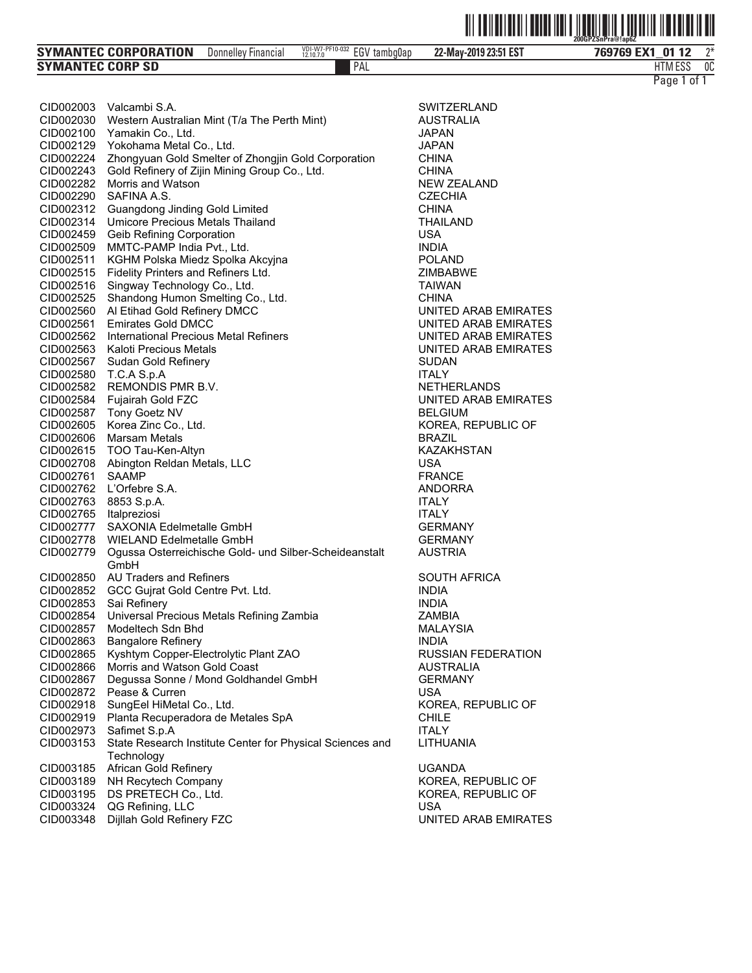| <b>SYMANTEC CORPORATION</b> | Donnelley Financial | VDI-W7-PF10-032<br><b>FOL</b><br>tambo0ap<br>cliV<br>12.10.7.0 | 22-May-2019 23:51 EST | EX <sub>1</sub><br>0112<br>769769 | $n*$ |
|-----------------------------|---------------------|----------------------------------------------------------------|-----------------------|-----------------------------------|------|
| <b>SYMANTEC CORP SD</b>     |                     | PAL                                                            |                       | $  -$<br>HIM ESS                  | 0C   |

| Page 1 of 1 |  |  |  |
|-------------|--|--|--|
|-------------|--|--|--|

| CID002003              | Valcambi S.A.                                                  | <b>SWITZER</b>   |
|------------------------|----------------------------------------------------------------|------------------|
| CID002030              | Western Australian Mint (T/a The Perth Mint)                   | AUSTRAI          |
| CID002100              | Yamakin Co., Ltd.                                              | JAPAN            |
| CID002129              | Yokohama Metal Co., Ltd.                                       | <b>JAPAN</b>     |
| CID002224              | Zhongyuan Gold Smelter of Zhongjin Gold Corporation            | CHINA            |
| CID002243              | Gold Refinery of Zijin Mining Group Co., Ltd.                  | <b>CHINA</b>     |
| CID002282              | Morris and Watson                                              | NEW ZEA          |
| CID002290              | SAFINA A.S.                                                    | <b>CZECHIA</b>   |
| CID002312              | Guangdong Jinding Gold Limited                                 | <b>CHINA</b>     |
| CID002314              | Umicore Precious Metals Thailand                               | <b>THAILAN</b>   |
| CID002459              | Geib Refining Corporation                                      | <b>USA</b>       |
| CID002509              | MMTC-PAMP India Pvt., Ltd.                                     | <b>INDIA</b>     |
| CID002511              | KGHM Polska Miedz Spolka Akcyjna                               | <b>POLAND</b>    |
| CID002515              | Fidelity Printers and Refiners Ltd.                            | <b>ZIMBABV</b>   |
| CID002516              | Singway Technology Co., Ltd.                                   | <b>TAIWAN</b>    |
| CID002525              | Shandong Humon Smelting Co., Ltd.                              | <b>CHINA</b>     |
| CID002560              | Al Etihad Gold Refinery DMCC                                   | UNITED A         |
| CID002561              | <b>Emirates Gold DMCC</b>                                      | UNITED A         |
| CID002562              | International Precious Metal Refiners                          | UNITED A         |
| CID002563              | Kaloti Precious Metals                                         | UNITED A         |
| CID002567              | Sudan Gold Refinerv                                            | SUDAN            |
| CID002580              | T.C.A S.p.A                                                    | <b>ITALY</b>     |
| CID002582              | REMONDIS PMR B.V.                                              | <b>NETHERI</b>   |
| CID002584              | Fujairah Gold FZC                                              | UNITED /         |
| CID002587              | Tony Goetz NV                                                  | <b>BELGIUM</b>   |
| CID002605              | Korea Zinc Co., Ltd.                                           | KOREA, I         |
| CID002606              | <b>Marsam Metals</b>                                           | <b>BRAZIL</b>    |
| CID002615              | TOO Tau-Ken-Altyn                                              | <b>KAZAKHS</b>   |
| CID002708              | Abington Reldan Metals, LLC                                    | <b>USA</b>       |
| CID002761              | SAAMP                                                          | <b>FRANCE</b>    |
| CID002762              | L'Orfebre S.A.                                                 | <b>ANDORR</b>    |
| CID002763              | 8853 S.p.A.                                                    | <b>ITALY</b>     |
| CID002765              | Italpreziosi                                                   | <b>ITALY</b>     |
| CID002777              | <b>SAXONIA Edelmetalle GmbH</b>                                | GERMAN           |
| CID002778              | <b>WIELAND Edelmetalle GmbH</b>                                | <b>GERMAN</b>    |
| CID002779              | Ogussa Osterreichische Gold- und Silber-Scheideanstalt<br>GmbH | AUSTRIA          |
|                        | <b>AU Traders and Refiners</b>                                 |                  |
| CID002850<br>CID002852 | GCC Gujrat Gold Centre Pvt. Ltd.                               | SOUTH A<br>INDIA |
| CID002853              | Sai Refinery                                                   | <b>INDIA</b>     |
| CID002854              | Universal Precious Metals Refining Zambia                      | ZAMBIA           |
| CID002857              | Modeltech Sdn Bhd                                              | MALAYSI          |
| CID002863              | <b>Bangalore Refinery</b>                                      | INDIA            |
| CID002865              | Kyshtym Copper-Electrolytic Plant ZAO                          | <b>RUSSIAN</b>   |
| CID002866              | Morris and Watson Gold Coast                                   | <b>AUSTRAI</b>   |
| CID002867              | Degussa Sonne / Mond Goldhandel GmbH                           | <b>GERMAN</b>    |
| CID002872              | Pease & Curren                                                 | <b>USA</b>       |
| CID002918              | SungEel HiMetal Co., Ltd.                                      | KOREA, I         |
| CID002919              | Planta Recuperadora de Metales SpA                             | <b>CHILE</b>     |
| CID002973              | Safimet S.p.A                                                  | <b>ITALY</b>     |
| CID003153              | State Research Institute Center for Physical Sciences and      | LITHUAN          |
|                        | Technology                                                     |                  |
| CID003185              | African Gold Refinery                                          | <b>UGANDA</b>    |
| CID003189              | NH Recytech Company                                            | KOREA, I         |
| CID003195              | DS PRETECH Co., Ltd.                                           | KOREA, I         |
| CID003324              | QG Refining, LLC                                               | <b>USA</b>       |
| CID003348              | Dijllah Gold Refinery FZC                                      | UNITED A         |
|                        |                                                                |                  |

SWITZERLAND **AUSTRALIA NEW ZEALAND** CZECHIA<br>CHINA THAILAND<br>USA ZIMBABWE<br>TAIWAN UNITED ARAB EMIRATES UNITED ARAB EMIRATES UNITED ARAB EMIRATES UNITED ARAB EMIRATES **NETHERLANDS** UNITED ARAB EMIRATES **BELGIUM** KOREA, REPUBLIC OF<br>BRAZIL KAZAKHSTAN<br>USA ANDORRA GERMANY **GERMANY** AUSTRIA SOUTH AFRICA<br>INDIA MALAYSIA<br>INDIA RUSSIAN FEDERATION **AUSTRALIA** GERMANY<br>USA KOREA, REPUBLIC OF<br>CHILE LITHUANIA KOREA, REPUBLIC OF KOREA, REPUBLIC OF UNITED ARAB EMIRATES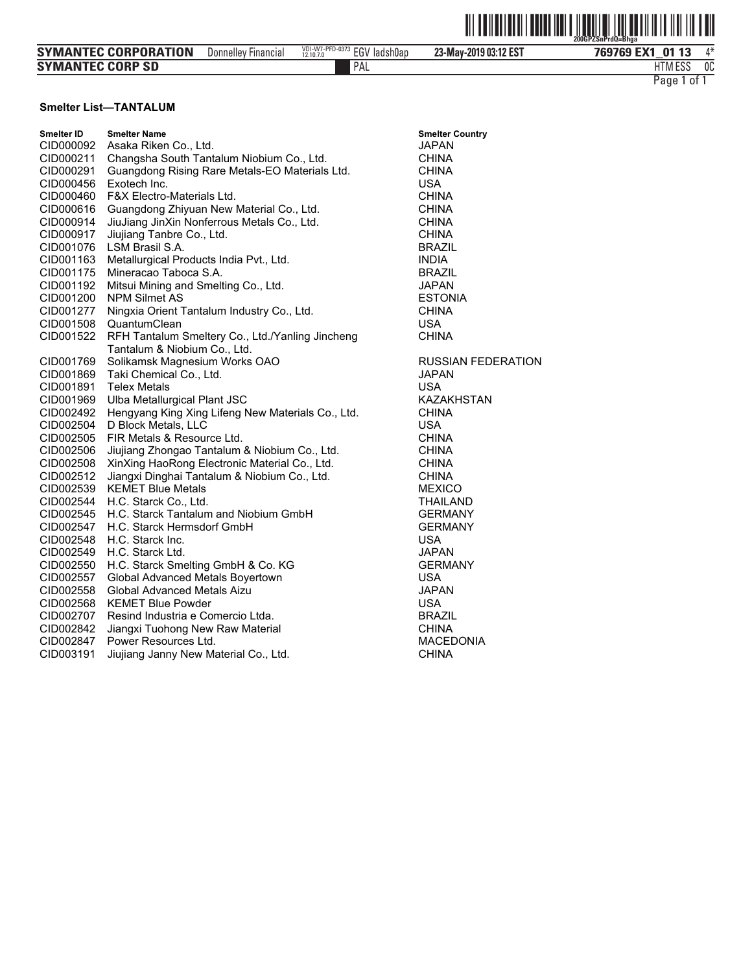|                         |                     |                              |                       | <u>HII IIIIIIIIIIII</u><br>∭∐<br>200GPZSnPrdQ=Bhaa |
|-------------------------|---------------------|------------------------------|-----------------------|----------------------------------------------------|
| SYMANTEC CORPORATION    | Donnelley Financial | VDI-W7-PFD-0373 EGV ladsh0ap | 23-May-2019 03:12 EST | 769769 EX1 01 13<br>1*                             |
| <b>SYMANTEC CORP SD</b> |                     | PAL                          |                       | <b>HTM ESS</b><br>0C                               |
|                         |                     |                              |                       | . of 1<br>Page 1                                   |

#### **Smelter List—TANTALUM**

| Smelter ID | <b>Smelter Name</b>                               | <b>Smelter Country</b>    |
|------------|---------------------------------------------------|---------------------------|
| CID000092  | Asaka Riken Co., Ltd.                             | <b>JAPAN</b>              |
| CID000211  | Changsha South Tantalum Niobium Co., Ltd.         | <b>CHINA</b>              |
| CID000291  | Guangdong Rising Rare Metals-EO Materials Ltd.    | <b>CHINA</b>              |
| CID000456  | Exotech Inc.                                      | <b>USA</b>                |
| CID000460  | <b>F&amp;X Electro-Materials Ltd.</b>             | <b>CHINA</b>              |
| CID000616  | Guangdong Zhiyuan New Material Co., Ltd.          | <b>CHINA</b>              |
| CID000914  | JiuJiang JinXin Nonferrous Metals Co., Ltd.       | <b>CHINA</b>              |
| CID000917  | Jiujiang Tanbre Co., Ltd.                         | <b>CHINA</b>              |
| CID001076  | LSM Brasil S.A.                                   | <b>BRAZIL</b>             |
| CID001163  | Metallurgical Products India Pvt., Ltd.           | <b>INDIA</b>              |
| CID001175  | Mineracao Taboca S.A.                             | <b>BRAZIL</b>             |
| CID001192  | Mitsui Mining and Smelting Co., Ltd.              | <b>JAPAN</b>              |
| CID001200  | <b>NPM Silmet AS</b>                              | <b>ESTONIA</b>            |
| CID001277  | Ningxia Orient Tantalum Industry Co., Ltd.        | <b>CHINA</b>              |
| CID001508  | QuantumClean                                      | <b>USA</b>                |
| CID001522  | RFH Tantalum Smeltery Co., Ltd./Yanling Jincheng  | <b>CHINA</b>              |
|            | Tantalum & Niobium Co., Ltd.                      |                           |
| CID001769  | Solikamsk Magnesium Works OAO                     | <b>RUSSIAN FEDERATION</b> |
| CID001869  | Taki Chemical Co., Ltd.                           | <b>JAPAN</b>              |
| CID001891  | <b>Telex Metals</b>                               | USA                       |
| CID001969  | Ulba Metallurgical Plant JSC                      | <b>KAZAKHSTAN</b>         |
| CID002492  | Hengyang King Xing Lifeng New Materials Co., Ltd. | <b>CHINA</b>              |
| CID002504  | D Block Metals, LLC                               | <b>USA</b>                |
| CID002505  | FIR Metals & Resource Ltd.                        | <b>CHINA</b>              |
| CID002506  | Jiujiang Zhongao Tantalum & Niobium Co., Ltd.     | <b>CHINA</b>              |
| CID002508  | XinXing HaoRong Electronic Material Co., Ltd.     | <b>CHINA</b>              |
| CID002512  | Jiangxi Dinghai Tantalum & Niobium Co., Ltd.      | <b>CHINA</b>              |
| CID002539  | <b>KEMET Blue Metals</b>                          | <b>MEXICO</b>             |
| CID002544  | H.C. Starck Co., Ltd.                             | <b>THAILAND</b>           |
| CID002545  | H.C. Starck Tantalum and Niobium GmbH             | <b>GERMANY</b>            |
| CID002547  | H.C. Starck Hermsdorf GmbH                        | <b>GERMANY</b>            |
| CID002548  | H.C. Starck Inc.                                  | <b>USA</b>                |
| CID002549  | H.C. Starck Ltd.                                  | <b>JAPAN</b>              |
| CID002550  | H.C. Starck Smelting GmbH & Co. KG                | <b>GERMANY</b>            |
| CID002557  | Global Advanced Metals Boyertown                  | <b>USA</b>                |
| CID002558  | <b>Global Advanced Metals Aizu</b>                | <b>JAPAN</b>              |
| CID002568  | <b>KEMET Blue Powder</b>                          | <b>USA</b>                |
| CID002707  | Resind Industria e Comercio Ltda.                 | <b>BRAZIL</b>             |
| CID002842  | Jiangxi Tuohong New Raw Material                  | <b>CHINA</b>              |
| CID002847  | Power Resources Ltd.                              | <b>MACEDONIA</b>          |
| CID003191  | Jiujiang Janny New Material Co., Ltd.             | <b>CHINA</b>              |

| <b>Smelter Country</b><br>JAPAN<br>CHINA<br><b>CHINA</b><br>USA<br>CHINA<br><b>CHINA</b><br><b>CHINA</b><br><b>CHINA</b><br>BRAZIL<br><b>INDIA</b><br><b>BRAZIL</b> |
|---------------------------------------------------------------------------------------------------------------------------------------------------------------------|
| <b>JAPAN</b>                                                                                                                                                        |
| <b>ESTONIA</b><br><b>CHINA</b>                                                                                                                                      |
| <b>USA</b>                                                                                                                                                          |
| <b>CHINA</b>                                                                                                                                                        |
|                                                                                                                                                                     |
| RUSSIAN FEDERA                                                                                                                                                      |
| <b>JAPAN</b>                                                                                                                                                        |
| USA                                                                                                                                                                 |
| <b>KAZAKHSTAN</b><br>CHINA                                                                                                                                          |
| <b>USA</b>                                                                                                                                                          |
| <b>CHINA</b>                                                                                                                                                        |
| <b>CHINA</b>                                                                                                                                                        |
| <b>CHINA</b>                                                                                                                                                        |
| <b>CHINA</b>                                                                                                                                                        |
| <b>MEXICO</b>                                                                                                                                                       |
| <b>THAILAND</b>                                                                                                                                                     |
| <b>GERMANY</b>                                                                                                                                                      |
| <b>GERMANY</b>                                                                                                                                                      |
| <b>USA</b>                                                                                                                                                          |
| JAPAN<br><b>GERMANY</b>                                                                                                                                             |
| <b>USA</b>                                                                                                                                                          |
| <b>JAPAN</b>                                                                                                                                                        |
| <b>USA</b>                                                                                                                                                          |
| <b>BRAZIL</b>                                                                                                                                                       |
| <b>CHINA</b>                                                                                                                                                        |
| <b>MACEDONIA</b>                                                                                                                                                    |
| <b>CHINA</b>                                                                                                                                                        |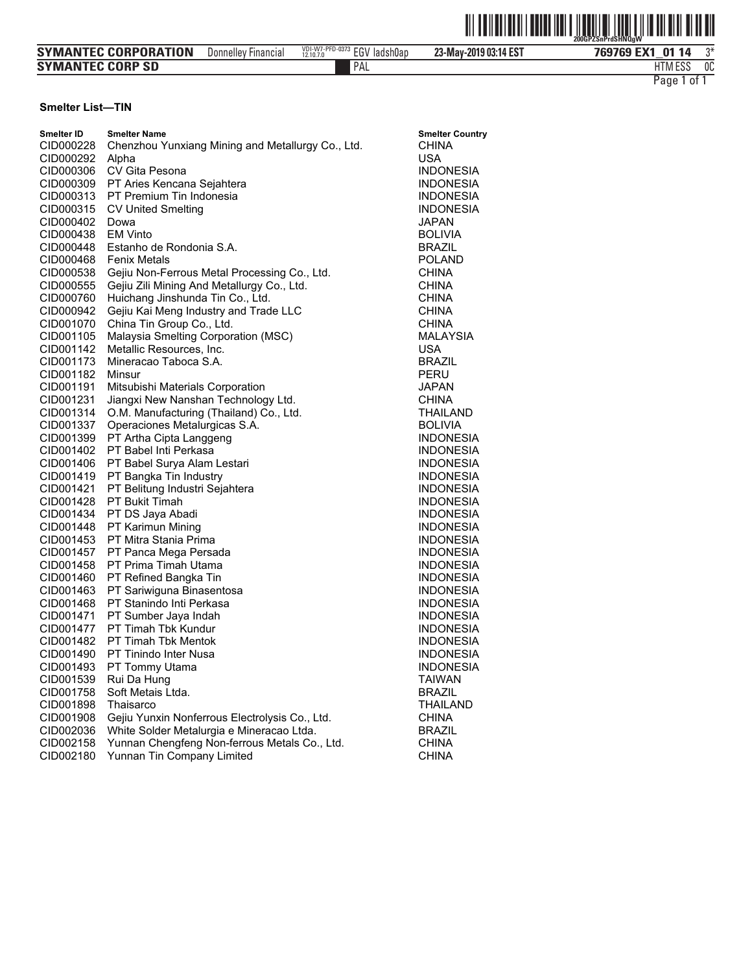|                             |                     |                              |                       | <u> All an Indian III anns 1861 agus Chuig III an Bhaile Bhail</u><br>200GPZSnPrdSHN0aW |
|-----------------------------|---------------------|------------------------------|-----------------------|-----------------------------------------------------------------------------------------|
| <b>SYMANTEC CORPORATION</b> | Donnellev Financial | VDI-W7-PFD-0373 EGV ladsh0ap | 23-May-2019 03:14 EST | ግ*<br>769769 EX1 01 14                                                                  |
| <b>SYMANTEC CORP SD</b>     |                     | PAL                          |                       | 0C<br><b>HTM ESS</b>                                                                    |
|                             |                     |                              |                       | . of 1<br>Page 1                                                                        |

#### **Smelter List—TIN**

| <b>Smelter ID</b><br>CID000228 | <b>Smelter Name</b><br>Chenzhou Yunxiang Mining and Metallurgy Co., Ltd.                   | <b>Smelter Country</b><br><b>CHINA</b><br>USA |
|--------------------------------|--------------------------------------------------------------------------------------------|-----------------------------------------------|
| CID000292                      | Alpha<br>CV Gita Pesona                                                                    |                                               |
| CID000306                      |                                                                                            | <b>INDONESIA</b>                              |
| CID000309                      | PT Aries Kencana Sejahtera<br>PT Premium Tin Indonesia                                     | <b>INDONESIA</b>                              |
| CID000313                      |                                                                                            | <b>INDONESIA</b>                              |
| CID000315                      | <b>CV United Smelting</b>                                                                  | <b>INDONESIA</b>                              |
| CID000402                      | Dowa<br><b>EM Vinto</b>                                                                    | JAPAN                                         |
| CID000438                      | Estanho de Rondonia S.A.                                                                   | <b>BOLIVIA</b><br><b>BRAZIL</b>               |
| CID000448                      | <b>Fenix Metals</b>                                                                        |                                               |
| CID000468<br>CID000538         |                                                                                            | <b>POLAND</b>                                 |
| CID000555                      | Gejiu Non-Ferrous Metal Processing Co., Ltd.<br>Gejiu Zili Mining And Metallurgy Co., Ltd. | <b>CHINA</b><br><b>CHINA</b>                  |
| CID000760                      |                                                                                            | <b>CHINA</b>                                  |
| CID000942                      | Huichang Jinshunda Tin Co., Ltd.<br>Gejiu Kai Meng Industry and Trade LLC                  | <b>CHINA</b>                                  |
| CID001070                      | China Tin Group Co., Ltd.                                                                  | <b>CHINA</b>                                  |
|                                |                                                                                            |                                               |
| CID001105<br>CID001142         | Malaysia Smelting Corporation (MSC)<br>Metallic Resources, Inc.                            | MALAYSIA<br><b>USA</b>                        |
| CID001173                      | Mineracao Taboca S.A.                                                                      | <b>BRAZIL</b>                                 |
| CID001182                      | Minsur                                                                                     | PERU                                          |
| CID001191                      | Mitsubishi Materials Corporation                                                           | JAPAN                                         |
| CID001231                      | Jiangxi New Nanshan Technology Ltd.                                                        | CHINA                                         |
| CID001314                      | O.M. Manufacturing (Thailand) Co., Ltd.                                                    | THAILAND                                      |
| CID001337                      | Operaciones Metalurgicas S.A.                                                              | <b>BOLIVIA</b>                                |
| CID001399                      | PT Artha Cipta Langgeng                                                                    | <b>INDONESIA</b>                              |
| CID001402                      | PT Babel Inti Perkasa                                                                      | <b>INDONESIA</b>                              |
| CID001406                      | PT Babel Surya Alam Lestari                                                                | <b>INDONESIA</b>                              |
| CID001419                      | PT Bangka Tin Industry                                                                     | <b>INDONESIA</b>                              |
| CID001421                      | PT Belitung Industri Sejahtera                                                             | <b>INDONESIA</b>                              |
| CID001428                      | PT Bukit Timah                                                                             | <b>INDONESIA</b>                              |
| CID001434                      | PT DS Jaya Abadi                                                                           | <b>INDONESIA</b>                              |
| CID001448                      | PT Karimun Mining                                                                          | <b>INDONESIA</b>                              |
| CID001453                      | PT Mitra Stania Prima                                                                      | <b>INDONESIA</b>                              |
| CID001457                      | PT Panca Mega Persada                                                                      | <b>INDONESIA</b>                              |
| CID001458                      | PT Prima Timah Utama                                                                       | <b>INDONESIA</b>                              |
| CID001460                      | PT Refined Bangka Tin                                                                      | <b>INDONESIA</b>                              |
| CID001463                      | PT Sariwiguna Binasentosa                                                                  | <b>INDONESIA</b>                              |
| CID001468                      | PT Stanindo Inti Perkasa                                                                   | <b>INDONESIA</b>                              |
| CID001471                      | PT Sumber Jaya Indah                                                                       | <b>INDONESIA</b>                              |
| CID001477                      | PT Timah Tbk Kundur                                                                        | <b>INDONESIA</b>                              |
| CID001482                      | PT Timah Tbk Mentok                                                                        | <b>INDONESIA</b>                              |
| CID001490                      | PT Tinindo Inter Nusa                                                                      | <b>INDONESIA</b>                              |
| CID001493                      | PT Tommy Utama                                                                             | <b>INDONESIA</b>                              |
| CID001539                      | Rui Da Hung                                                                                | <b>TAIWAN</b>                                 |
| CID001758                      | Soft Metais Ltda.                                                                          | <b>BRAZIL</b>                                 |
| CID001898                      | Thaisarco                                                                                  | THAILAND                                      |
| CID001908                      | Gejiu Yunxin Nonferrous Electrolysis Co., Ltd.                                             | <b>CHINA</b>                                  |
| CID002036                      | White Solder Metalurgia e Mineracao Ltda.                                                  | <b>BRAZIL</b>                                 |
| CID002158                      | Yunnan Chengfeng Non-ferrous Metals Co., Ltd.                                              | <b>CHINA</b>                                  |
| CID002180                      | Yunnan Tin Company Limited                                                                 | <b>CHINA</b>                                  |
|                                |                                                                                            |                                               |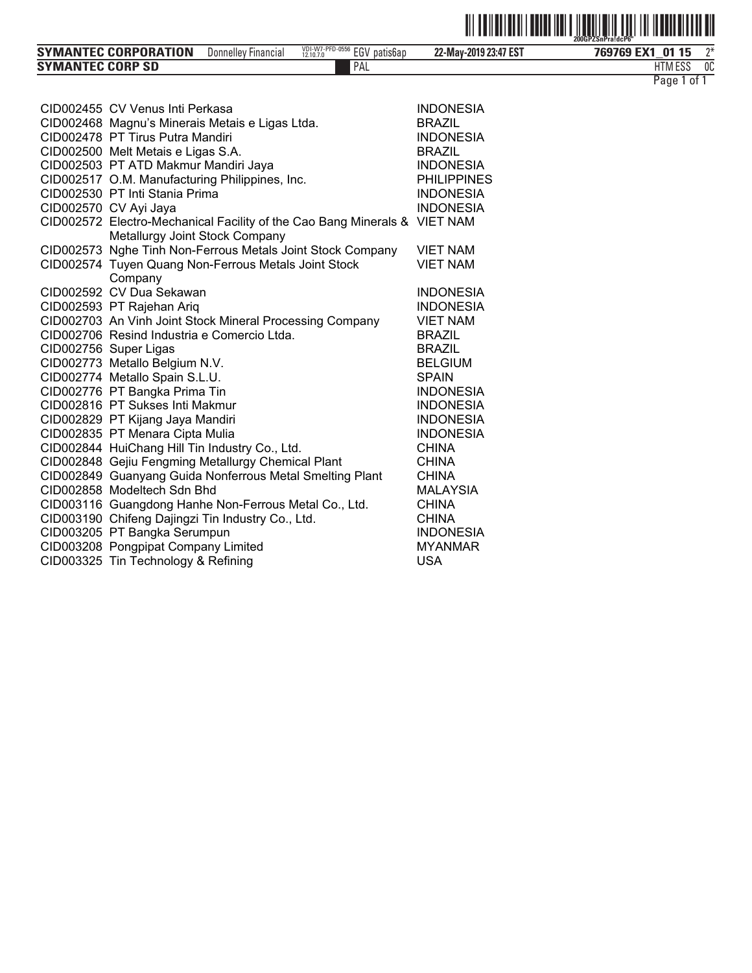

| 1.500<br>PAL<br><b>SYMANTEC CORP SD</b><br>HIM ESS | <b>SYMANTEC CORPORATION</b> | <b>Financial</b><br>Donnelley | VDI-W7-PFD-0556<br>$\overline{201}$<br>patis6ap<br>∠GV<br>12.10.7.0 | 22-May-2019 23:47 EST | 769769<br><b>EMA</b><br>01 15<br>EX. | $^{\sim}$ |
|----------------------------------------------------|-----------------------------|-------------------------------|---------------------------------------------------------------------|-----------------------|--------------------------------------|-----------|
|                                                    |                             |                               |                                                                     |                       |                                      | OC        |

| Page 1 of |  |  |
|-----------|--|--|
|           |  |  |

| CID002455 CV Venus Inti Perkasa                                           | <b>INDONESIA</b>   |
|---------------------------------------------------------------------------|--------------------|
| CID002468 Magnu's Minerais Metais e Ligas Ltda.                           | <b>BRAZIL</b>      |
| CID002478 PT Tirus Putra Mandiri                                          | <b>INDONESIA</b>   |
| CID002500 Melt Metais e Ligas S.A.                                        | <b>BRAZIL</b>      |
| CID002503 PT ATD Makmur Mandiri Jaya                                      | <b>INDONESIA</b>   |
| CID002517 O.M. Manufacturing Philippines, Inc.                            | <b>PHILIPPINES</b> |
| CID002530 PT Inti Stania Prima                                            | <b>INDONESIA</b>   |
| CID002570 CV Ayi Jaya                                                     | <b>INDONESIA</b>   |
| CID002572 Electro-Mechanical Facility of the Cao Bang Minerals & VIET NAM |                    |
| Metallurgy Joint Stock Company                                            |                    |
| CID002573 Nghe Tinh Non-Ferrous Metals Joint Stock Company                | <b>VIET NAM</b>    |
| CID002574 Tuyen Quang Non-Ferrous Metals Joint Stock                      | <b>VIET NAM</b>    |
| Company<br>CID002592 CV Dua Sekawan                                       | <b>INDONESIA</b>   |
| CID002593 PT Rajehan Ariq                                                 | <b>INDONESIA</b>   |
| CID002703 An Vinh Joint Stock Mineral Processing Company                  | <b>VIET NAM</b>    |
| CID002706 Resind Industria e Comercio Ltda.                               | <b>BRAZIL</b>      |
| CID002756 Super Ligas                                                     | <b>BRAZIL</b>      |
| CID002773 Metallo Belgium N.V.                                            | <b>BELGIUM</b>     |
| CID002774 Metallo Spain S.L.U.                                            | <b>SPAIN</b>       |
| CID002776 PT Bangka Prima Tin                                             | <b>INDONESIA</b>   |
| CID002816 PT Sukses Inti Makmur                                           | <b>INDONESIA</b>   |
| CID002829 PT Kijang Jaya Mandiri                                          | <b>INDONESIA</b>   |
| CID002835 PT Menara Cipta Mulia                                           | <b>INDONESIA</b>   |
| CID002844 HuiChang Hill Tin Industry Co., Ltd.                            | <b>CHINA</b>       |
| CID002848 Gejiu Fengming Metallurgy Chemical Plant                        | <b>CHINA</b>       |
| CID002849 Guanyang Guida Nonferrous Metal Smelting Plant                  | <b>CHINA</b>       |
| CID002858 Modeltech Sdn Bhd                                               | <b>MALAYSIA</b>    |
| CID003116 Guangdong Hanhe Non-Ferrous Metal Co., Ltd.                     | <b>CHINA</b>       |
| CID003190 Chifeng Dajingzi Tin Industry Co., Ltd.                         | <b>CHINA</b>       |
| CID003205 PT Bangka Serumpun                                              | <b>INDONESIA</b>   |
| CID003208 Pongpipat Company Limited                                       | <b>MYANMAR</b>     |
| CID003325 Tin Technology & Refining                                       | <b>USA</b>         |